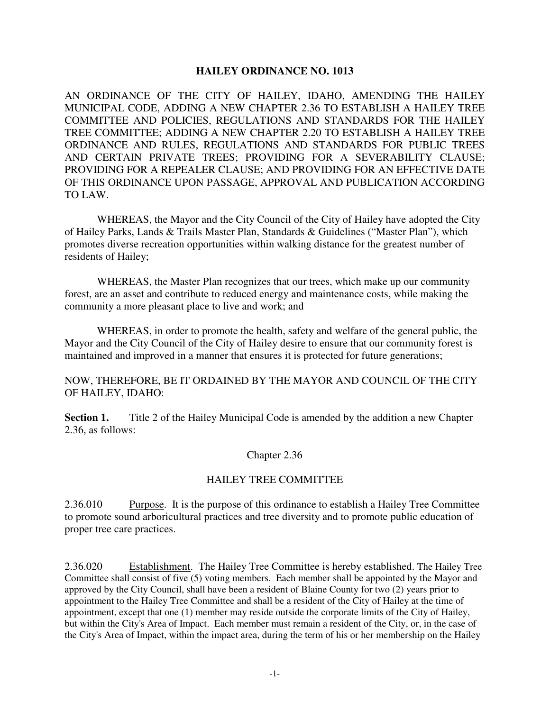#### **HAILEY ORDINANCE NO. 1013**

AN ORDINANCE OF THE CITY OF HAILEY, IDAHO, AMENDING THE HAILEY MUNICIPAL CODE, ADDING A NEW CHAPTER 2.36 TO ESTABLISH A HAILEY TREE COMMITTEE AND POLICIES, REGULATIONS AND STANDARDS FOR THE HAILEY TREE COMMITTEE; ADDING A NEW CHAPTER 2.20 TO ESTABLISH A HAILEY TREE ORDINANCE AND RULES, REGULATIONS AND STANDARDS FOR PUBLIC TREES AND CERTAIN PRIVATE TREES; PROVIDING FOR A SEVERABILITY CLAUSE; PROVIDING FOR A REPEALER CLAUSE; AND PROVIDING FOR AN EFFECTIVE DATE OF THIS ORDINANCE UPON PASSAGE, APPROVAL AND PUBLICATION ACCORDING TO LAW.

 WHEREAS, the Mayor and the City Council of the City of Hailey have adopted the City of Hailey Parks, Lands & Trails Master Plan, Standards & Guidelines ("Master Plan"), which promotes diverse recreation opportunities within walking distance for the greatest number of residents of Hailey;

 WHEREAS, the Master Plan recognizes that our trees, which make up our community forest, are an asset and contribute to reduced energy and maintenance costs, while making the community a more pleasant place to live and work; and

 WHEREAS, in order to promote the health, safety and welfare of the general public, the Mayor and the City Council of the City of Hailey desire to ensure that our community forest is maintained and improved in a manner that ensures it is protected for future generations;

#### NOW, THEREFORE, BE IT ORDAINED BY THE MAYOR AND COUNCIL OF THE CITY OF HAILEY, IDAHO:

**Section 1.** Title 2 of the Hailey Municipal Code is amended by the addition a new Chapter 2.36, as follows:

#### Chapter 2.36

#### HAILEY TREE COMMITTEE

2.36.010 Purpose. It is the purpose of this ordinance to establish a Hailey Tree Committee to promote sound arboricultural practices and tree diversity and to promote public education of proper tree care practices.

2.36.020 Establishment. The Hailey Tree Committee is hereby established. The Hailey Tree Committee shall consist of five (5) voting members. Each member shall be appointed by the Mayor and approved by the City Council, shall have been a resident of Blaine County for two (2) years prior to appointment to the Hailey Tree Committee and shall be a resident of the City of Hailey at the time of appointment, except that one (1) member may reside outside the corporate limits of the City of Hailey, but within the City's Area of Impact. Each member must remain a resident of the City, or, in the case of the City's Area of Impact, within the impact area, during the term of his or her membership on the Hailey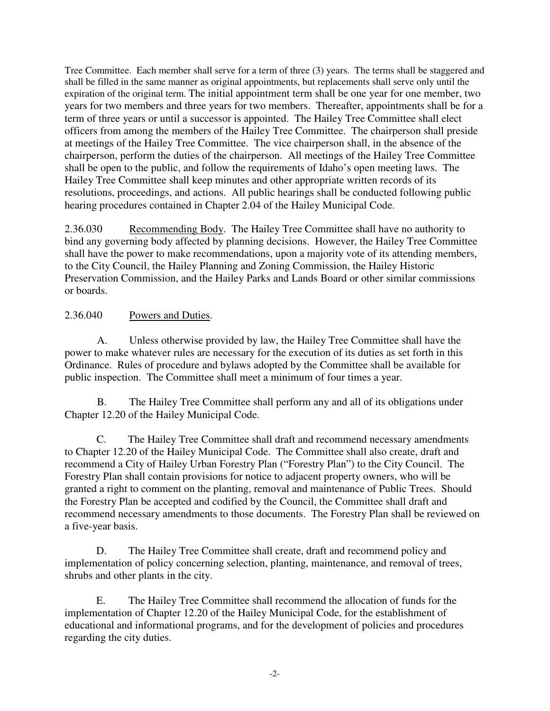Tree Committee. Each member shall serve for a term of three (3) years. The terms shall be staggered and shall be filled in the same manner as original appointments, but replacements shall serve only until the expiration of the original term. The initial appointment term shall be one year for one member, two years for two members and three years for two members. Thereafter, appointments shall be for a term of three years or until a successor is appointed. The Hailey Tree Committee shall elect officers from among the members of the Hailey Tree Committee. The chairperson shall preside at meetings of the Hailey Tree Committee. The vice chairperson shall, in the absence of the chairperson, perform the duties of the chairperson. All meetings of the Hailey Tree Committee shall be open to the public, and follow the requirements of Idaho's open meeting laws. The Hailey Tree Committee shall keep minutes and other appropriate written records of its resolutions, proceedings, and actions. All public hearings shall be conducted following public hearing procedures contained in Chapter 2.04 of the Hailey Municipal Code.

2.36.030 Recommending Body. The Hailey Tree Committee shall have no authority to bind any governing body affected by planning decisions. However, the Hailey Tree Committee shall have the power to make recommendations, upon a majority vote of its attending members, to the City Council, the Hailey Planning and Zoning Commission, the Hailey Historic Preservation Commission, and the Hailey Parks and Lands Board or other similar commissions or boards.

# 2.36.040 Powers and Duties.

A. Unless otherwise provided by law, the Hailey Tree Committee shall have the power to make whatever rules are necessary for the execution of its duties as set forth in this Ordinance. Rules of procedure and bylaws adopted by the Committee shall be available for public inspection. The Committee shall meet a minimum of four times a year.

 B. The Hailey Tree Committee shall perform any and all of its obligations under Chapter 12.20 of the Hailey Municipal Code.

 C. The Hailey Tree Committee shall draft and recommend necessary amendments to Chapter 12.20 of the Hailey Municipal Code. The Committee shall also create, draft and recommend a City of Hailey Urban Forestry Plan ("Forestry Plan") to the City Council. The Forestry Plan shall contain provisions for notice to adjacent property owners, who will be granted a right to comment on the planting, removal and maintenance of Public Trees. Should the Forestry Plan be accepted and codified by the Council, the Committee shall draft and recommend necessary amendments to those documents. The Forestry Plan shall be reviewed on a five-year basis.

D. The Hailey Tree Committee shall create, draft and recommend policy and implementation of policy concerning selection, planting, maintenance, and removal of trees, shrubs and other plants in the city.

E. The Hailey Tree Committee shall recommend the allocation of funds for the implementation of Chapter 12.20 of the Hailey Municipal Code, for the establishment of educational and informational programs, and for the development of policies and procedures regarding the city duties.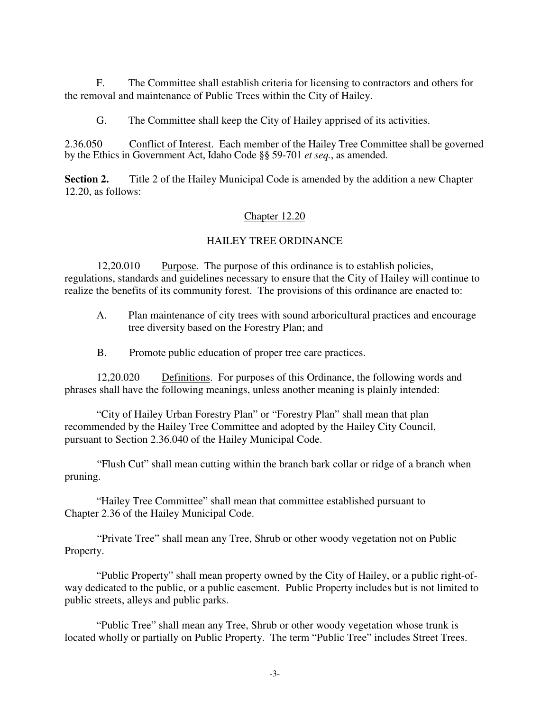F. The Committee shall establish criteria for licensing to contractors and others for the removal and maintenance of Public Trees within the City of Hailey.

G. The Committee shall keep the City of Hailey apprised of its activities.

2.36.050 Conflict of Interest. Each member of the Hailey Tree Committee shall be governed by the Ethics in Government Act, Idaho Code §§ 59-701 *et seq.*, as amended.

**Section 2.** Title 2 of the Hailey Municipal Code is amended by the addition a new Chapter 12.20, as follows:

### Chapter 12.20

### HAILEY TREE ORDINANCE

12,20.010 Purpose. The purpose of this ordinance is to establish policies, regulations, standards and guidelines necessary to ensure that the City of Hailey will continue to realize the benefits of its community forest. The provisions of this ordinance are enacted to:

- A. Plan maintenance of city trees with sound arboricultural practices and encourage tree diversity based on the Forestry Plan; and
- B. Promote public education of proper tree care practices.

 12,20.020 Definitions. For purposes of this Ordinance, the following words and phrases shall have the following meanings, unless another meaning is plainly intended:

 "City of Hailey Urban Forestry Plan" or "Forestry Plan" shall mean that plan recommended by the Hailey Tree Committee and adopted by the Hailey City Council, pursuant to Section 2.36.040 of the Hailey Municipal Code.

 "Flush Cut" shall mean cutting within the branch bark collar or ridge of a branch when pruning.

"Hailey Tree Committee" shall mean that committee established pursuant to Chapter 2.36 of the Hailey Municipal Code.

 "Private Tree" shall mean any Tree, Shrub or other woody vegetation not on Public Property.

 "Public Property" shall mean property owned by the City of Hailey, or a public right-ofway dedicated to the public, or a public easement. Public Property includes but is not limited to public streets, alleys and public parks.

 "Public Tree" shall mean any Tree, Shrub or other woody vegetation whose trunk is located wholly or partially on Public Property. The term "Public Tree" includes Street Trees.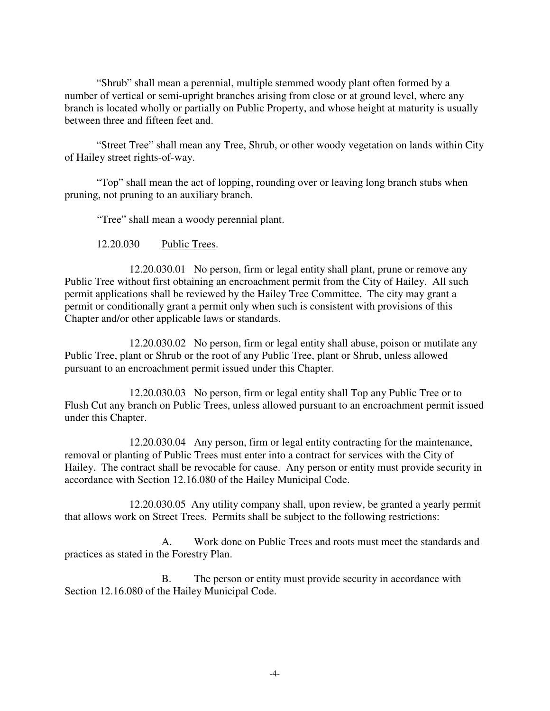"Shrub" shall mean a perennial, multiple stemmed woody plant often formed by a number of vertical or semi-upright branches arising from close or at ground level, where any branch is located wholly or partially on Public Property, and whose height at maturity is usually between three and fifteen feet and.

 "Street Tree" shall mean any Tree, Shrub, or other woody vegetation on lands within City of Hailey street rights-of-way.

 "Top" shall mean the act of lopping, rounding over or leaving long branch stubs when pruning, not pruning to an auxiliary branch.

"Tree" shall mean a woody perennial plant.

12.20.030 Public Trees.

12.20.030.01 No person, firm or legal entity shall plant, prune or remove any Public Tree without first obtaining an encroachment permit from the City of Hailey. All such permit applications shall be reviewed by the Hailey Tree Committee. The city may grant a permit or conditionally grant a permit only when such is consistent with provisions of this Chapter and/or other applicable laws or standards.

12.20.030.02 No person, firm or legal entity shall abuse, poison or mutilate any Public Tree, plant or Shrub or the root of any Public Tree, plant or Shrub, unless allowed pursuant to an encroachment permit issued under this Chapter.

12.20.030.03 No person, firm or legal entity shall Top any Public Tree or to Flush Cut any branch on Public Trees, unless allowed pursuant to an encroachment permit issued under this Chapter.

12.20.030.04 Any person, firm or legal entity contracting for the maintenance, removal or planting of Public Trees must enter into a contract for services with the City of Hailey. The contract shall be revocable for cause. Any person or entity must provide security in accordance with Section 12.16.080 of the Hailey Municipal Code.

 12.20.030.05 Any utility company shall, upon review, be granted a yearly permit that allows work on Street Trees. Permits shall be subject to the following restrictions:

 A. Work done on Public Trees and roots must meet the standards and practices as stated in the Forestry Plan.

B. The person or entity must provide security in accordance with Section 12.16.080 of the Hailey Municipal Code.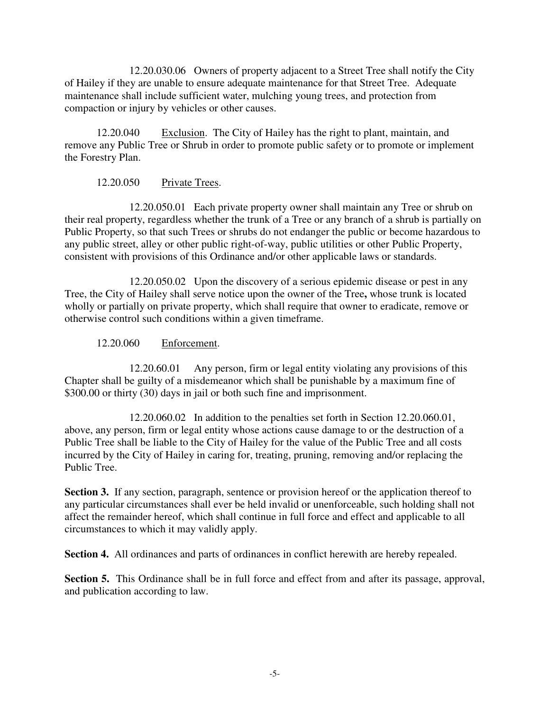12.20.030.06 Owners of property adjacent to a Street Tree shall notify the City of Hailey if they are unable to ensure adequate maintenance for that Street Tree. Adequate maintenance shall include sufficient water, mulching young trees, and protection from compaction or injury by vehicles or other causes.

 12.20.040 Exclusion. The City of Hailey has the right to plant, maintain, and remove any Public Tree or Shrub in order to promote public safety or to promote or implement the Forestry Plan.

## 12.20.050 Private Trees.

 12.20.050.01 Each private property owner shall maintain any Tree or shrub on their real property, regardless whether the trunk of a Tree or any branch of a shrub is partially on Public Property, so that such Trees or shrubs do not endanger the public or become hazardous to any public street, alley or other public right-of-way, public utilities or other Public Property, consistent with provisions of this Ordinance and/or other applicable laws or standards.

 12.20.050.02 Upon the discovery of a serious epidemic disease or pest in any Tree, the City of Hailey shall serve notice upon the owner of the Tree**,** whose trunk is located wholly or partially on private property, which shall require that owner to eradicate, remove or otherwise control such conditions within a given timeframe.

### 12.20.060 Enforcement.

12.20.60.01 Any person, firm or legal entity violating any provisions of this Chapter shall be guilty of a misdemeanor which shall be punishable by a maximum fine of \$300.00 or thirty (30) days in jail or both such fine and imprisonment.

 12.20.060.02 In addition to the penalties set forth in Section 12.20.060.01, above, any person, firm or legal entity whose actions cause damage to or the destruction of a Public Tree shall be liable to the City of Hailey for the value of the Public Tree and all costs incurred by the City of Hailey in caring for, treating, pruning, removing and/or replacing the Public Tree.

**Section 3.** If any section, paragraph, sentence or provision hereof or the application thereof to any particular circumstances shall ever be held invalid or unenforceable, such holding shall not affect the remainder hereof, which shall continue in full force and effect and applicable to all circumstances to which it may validly apply.

**Section 4.** All ordinances and parts of ordinances in conflict herewith are hereby repealed.

**Section 5.** This Ordinance shall be in full force and effect from and after its passage, approval, and publication according to law.